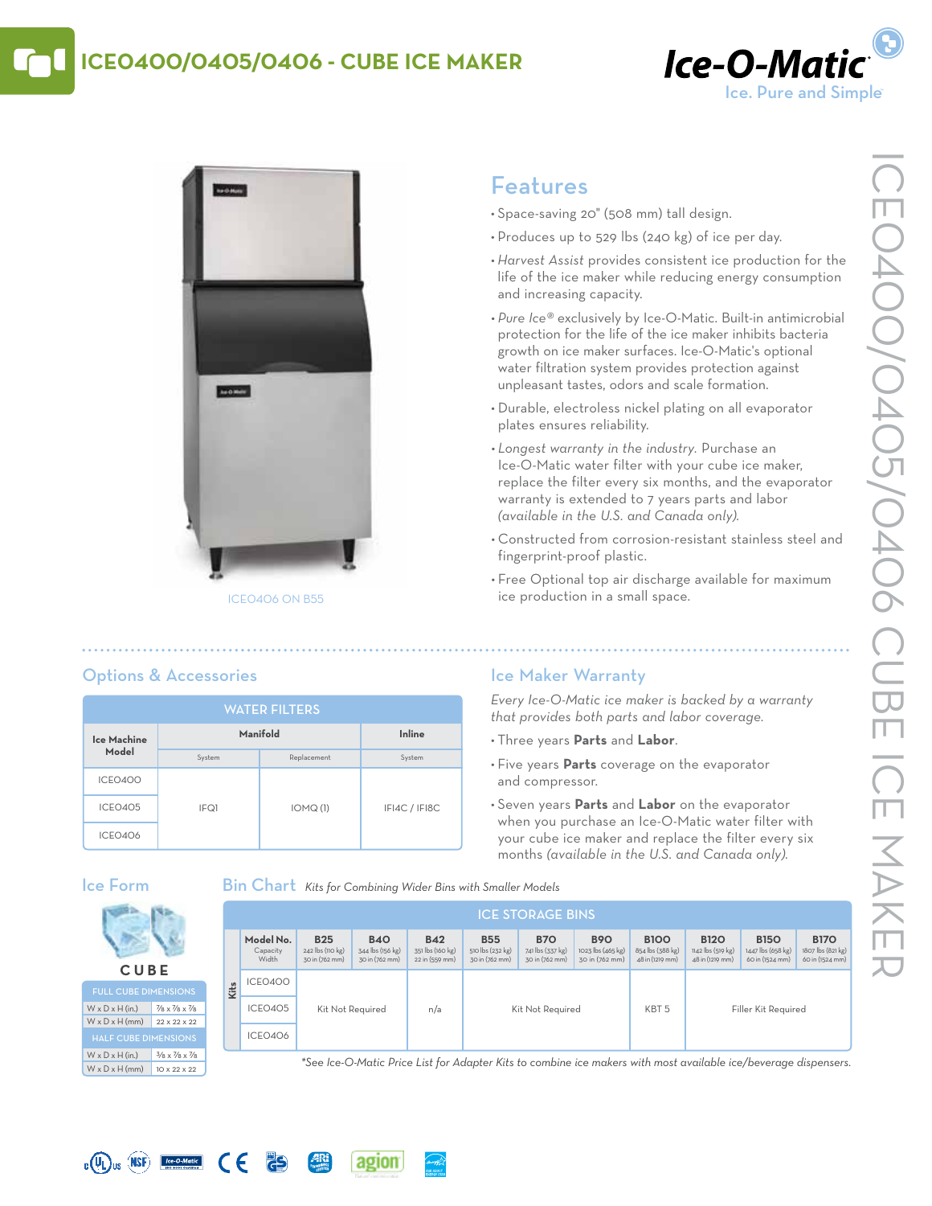# **ICE0400/0405/0406 - Cube Ice Maker**





#### ICE0406 on B55

# Features

- • Space-saving 20" (508 mm) tall design.
- Produces up to 529 lbs (240 kg) of ice per day.
- *• Harvest Assist* provides consistent ice production for the life of the ice maker while reducing energy consumption and increasing capacity.
- *• Pure Ice®* exclusively by Ice-O-Matic. Built-in antimicrobial protection for the life of the ice maker inhibits bacteria growth on ice maker surfaces. Ice-O-Matic's optional water filtration system provides protection against unpleasant tastes, odors and scale formation.
- • Durable, electroless nickel plating on all evaporator plates ensures reliability.
- *• Longest warranty in the industry.* Purchase an Ice-O-Matic water filter with your cube ice maker, replace the filter every six months, and the evaporator warranty is extended to 7 years parts and labor *(available in the U.S. and Canada only).*
- • Constructed from corrosion-resistant stainless steel and fingerprint-proof plastic.
- Free Optional top air discharge available for maximum ice production in a small space.

## Options & Accessories

| <b>WATER FILTERS</b> |          |             |               |  |  |  |  |  |
|----------------------|----------|-------------|---------------|--|--|--|--|--|
| Ice Machine<br>Model | Manifold | Inline      |               |  |  |  |  |  |
|                      | System   | Replacement | System        |  |  |  |  |  |
| ICEO400              |          |             |               |  |  |  |  |  |
| ICEO405              | IFQ1     | IOMQ(1)     | IFI4C / IFI8C |  |  |  |  |  |
| ICEO4O6              |          |             |               |  |  |  |  |  |

## Ice Maker Warranty

*Every Ice-O-Matic ice maker is backed by a warranty that provides both parts and labor coverage.*

- • Three years **Parts** and **Labor**.
- • Five years **Parts** coverage on the evaporator and compressor.
- • Seven years **Parts** and **Labor** on the evaporator when you purchase an Ice-O-Matic water filter with your cube ice maker and replace the filter every six months *(available in the U.S. and Canada only).*

### Ice Form

**C UB E** Full Cube Dimensions  $W \times D \times H$  (in.) 7/8 x 7/8 x 7/8  $W \times D \times H$  (mm) 22 x 22 x 22

W x D x H (in.)  $3/8 \times 7/8 \times 7/8$  $W \times D \times H$  (mm) 10 x 22 x 22

Bin Chart *Kits for Combining Wider Bins with Smaller Models*

|      | <b>ICE STORAGE BINS</b>        |                                                  |                                                  |                                                  |                                                  |                                                  |                                                   |                                                    |                                                     |                                                     |                                                     |
|------|--------------------------------|--------------------------------------------------|--------------------------------------------------|--------------------------------------------------|--------------------------------------------------|--------------------------------------------------|---------------------------------------------------|----------------------------------------------------|-----------------------------------------------------|-----------------------------------------------------|-----------------------------------------------------|
|      | Model No.<br>Capacity<br>Width | <b>B25</b><br>242 lbs (110 kg)<br>30 in (762 mm) | <b>B40</b><br>344 lbs (156 kg)<br>30 in (762 mm) | <b>B42</b><br>351 lbs (160 kg)<br>22 in (559 mm) | <b>B55</b><br>510 lbs (232 kg)<br>30 in (762 mm) | <b>B70</b><br>741 lbs (337 kg)<br>30 in (762 mm) | <b>B90</b><br>1023 lbs (465 kg)<br>30 in (762 mm) | <b>B100</b><br>854 lbs (388 kg)<br>48 in (1219 mm) | <b>B120</b><br>1142 lbs (519 kg)<br>48 in (1219 mm) | <b>B150</b><br>1447 lbs (658 kg)<br>60 in (1524 mm) | <b>B170</b><br>1807 lbs (821 kg)<br>60 in (1524 mm) |
| Kits | ICEO400                        | Kit Not Required                                 |                                                  | n/a                                              | Kit Not Required                                 |                                                  | KBT <sub>5</sub>                                  |                                                    |                                                     |                                                     |                                                     |
|      | ICEO405                        |                                                  |                                                  |                                                  |                                                  |                                                  |                                                   | Filler Kit Required                                |                                                     |                                                     |                                                     |
|      | ICEO406                        |                                                  |                                                  |                                                  |                                                  |                                                  |                                                   |                                                    |                                                     |                                                     |                                                     |

*\*See Ice-O-Matic Price List for Adapter Kits to combine ice makers with most available ice/beverage dispensers.*



 $\epsilon$ 

**PS**